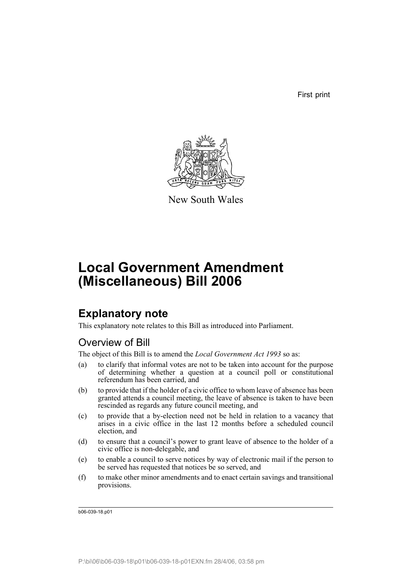First print



New South Wales

# **Local Government Amendment (Miscellaneous) Bill 2006**

## **Explanatory note**

This explanatory note relates to this Bill as introduced into Parliament.

## Overview of Bill

The object of this Bill is to amend the *Local Government Act 1993* so as:

- (a) to clarify that informal votes are not to be taken into account for the purpose of determining whether a question at a council poll or constitutional referendum has been carried, and
- (b) to provide that if the holder of a civic office to whom leave of absence has been granted attends a council meeting, the leave of absence is taken to have been rescinded as regards any future council meeting, and
- (c) to provide that a by-election need not be held in relation to a vacancy that arises in a civic office in the last 12 months before a scheduled council election, and
- (d) to ensure that a council's power to grant leave of absence to the holder of a civic office is non-delegable, and
- (e) to enable a council to serve notices by way of electronic mail if the person to be served has requested that notices be so served, and
- (f) to make other minor amendments and to enact certain savings and transitional provisions.

b06-039-18.p01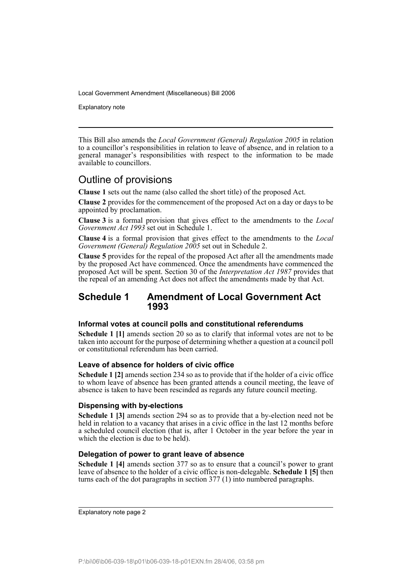Explanatory note

This Bill also amends the *Local Government (General) Regulation 2005* in relation to a councillor's responsibilities in relation to leave of absence, and in relation to a general manager's responsibilities with respect to the information to be made available to councillors.

## Outline of provisions

**Clause 1** sets out the name (also called the short title) of the proposed Act.

**Clause 2** provides for the commencement of the proposed Act on a day or days to be appointed by proclamation.

**Clause 3** is a formal provision that gives effect to the amendments to the *Local Government Act 1993* set out in Schedule 1.

**Clause 4** is a formal provision that gives effect to the amendments to the *Local Government (General) Regulation 2005* set out in Schedule 2.

**Clause 5** provides for the repeal of the proposed Act after all the amendments made by the proposed Act have commenced. Once the amendments have commenced the proposed Act will be spent. Section 30 of the *Interpretation Act 1987* provides that the repeal of an amending Act does not affect the amendments made by that Act.

### **Schedule 1 Amendment of Local Government Act 1993**

#### **Informal votes at council polls and constitutional referendums**

**Schedule 1 [1]** amends section 20 so as to clarify that informal votes are not to be taken into account for the purpose of determining whether a question at a council poll or constitutional referendum has been carried.

#### **Leave of absence for holders of civic office**

**Schedule 1 [2]** amends section 234 so as to provide that if the holder of a civic office to whom leave of absence has been granted attends a council meeting, the leave of absence is taken to have been rescinded as regards any future council meeting.

#### **Dispensing with by-elections**

**Schedule 1 [3]** amends section 294 so as to provide that a by-election need not be held in relation to a vacancy that arises in a civic office in the last 12 months before a scheduled council election (that is, after 1 October in the year before the year in which the election is due to be held).

#### **Delegation of power to grant leave of absence**

**Schedule 1 [4]** amends section 377 so as to ensure that a council's power to grant leave of absence to the holder of a civic office is non-delegable. **Schedule 1 [5]** then turns each of the dot paragraphs in section 377 (1) into numbered paragraphs.

Explanatory note page 2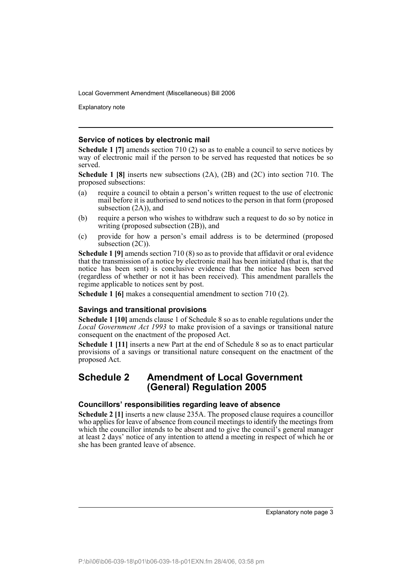Explanatory note

#### **Service of notices by electronic mail**

**Schedule 1 [7]** amends section 710 (2) so as to enable a council to serve notices by way of electronic mail if the person to be served has requested that notices be so served.

**Schedule 1 [8]** inserts new subsections (2A), (2B) and (2C) into section 710. The proposed subsections:

- (a) require a council to obtain a person's written request to the use of electronic mail before it is authorised to send notices to the person in that form (proposed subsection (2A)), and
- (b) require a person who wishes to withdraw such a request to do so by notice in writing (proposed subsection (2B)), and
- (c) provide for how a person's email address is to be determined (proposed subsection  $(2C)$ ).

**Schedule 1 [9]** amends section 710 (8) so as to provide that affidavit or oral evidence that the transmission of a notice by electronic mail has been initiated (that is, that the notice has been sent) is conclusive evidence that the notice has been served (regardless of whether or not it has been received). This amendment parallels the regime applicable to notices sent by post.

**Schedule 1 [6]** makes a consequential amendment to section 710 (2).

#### **Savings and transitional provisions**

**Schedule 1 [10]** amends clause 1 of Schedule 8 so as to enable regulations under the *Local Government Act 1993* to make provision of a savings or transitional nature consequent on the enactment of the proposed Act.

**Schedule 1 [11]** inserts a new Part at the end of Schedule 8 so as to enact particular provisions of a savings or transitional nature consequent on the enactment of the proposed Act.

### **Schedule 2 Amendment of Local Government (General) Regulation 2005**

#### **Councillors' responsibilities regarding leave of absence**

**Schedule 2 [1]** inserts a new clause 235A. The proposed clause requires a councillor who applies for leave of absence from council meetings to identify the meetings from which the councillor intends to be absent and to give the council's general manager at least 2 days' notice of any intention to attend a meeting in respect of which he or she has been granted leave of absence.

Explanatory note page 3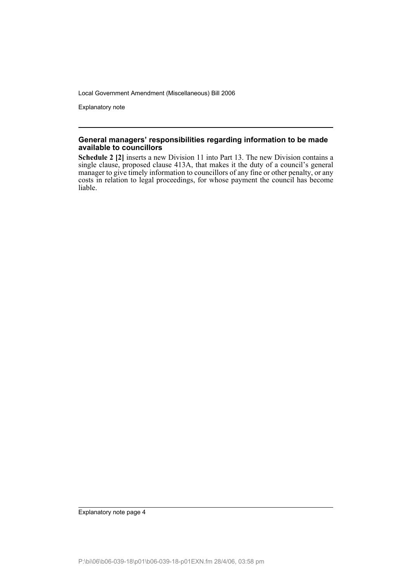Explanatory note

#### **General managers' responsibilities regarding information to be made available to councillors**

**Schedule 2 [2]** inserts a new Division 11 into Part 13. The new Division contains a single clause, proposed clause 413A, that makes it the duty of a council's general manager to give timely information to councillors of any fine or other penalty, or any costs in relation to legal proceedings, for whose payment the council has become liable.

Explanatory note page 4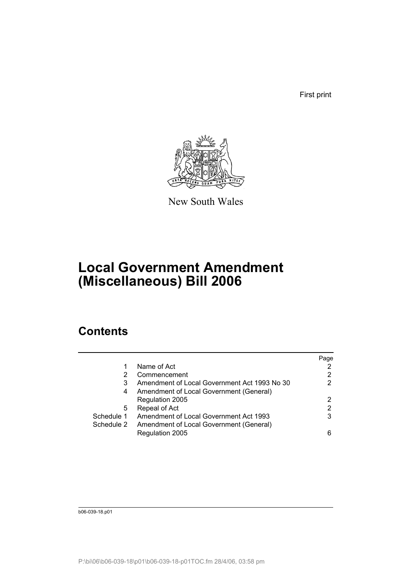First print



New South Wales

# **Local Government Amendment (Miscellaneous) Bill 2006**

# **Contents**

|            |                                              | Page |
|------------|----------------------------------------------|------|
| 1          | Name of Act                                  |      |
| 2          | Commencement                                 | 2    |
| 3          | Amendment of Local Government Act 1993 No 30 | 2    |
| 4          | Amendment of Local Government (General)      |      |
|            | Regulation 2005                              | 2    |
| 5          | Repeal of Act                                | 2    |
| Schedule 1 | Amendment of Local Government Act 1993       | 3    |
| Schedule 2 | Amendment of Local Government (General)      |      |
|            | Regulation 2005                              | ิค   |

b06-039-18.p01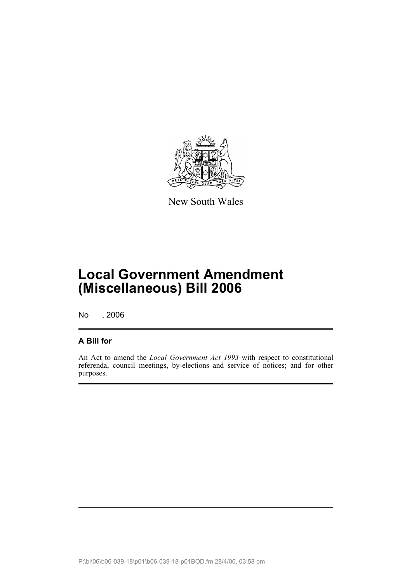

New South Wales

# **Local Government Amendment (Miscellaneous) Bill 2006**

No , 2006

### **A Bill for**

An Act to amend the *Local Government Act 1993* with respect to constitutional referenda, council meetings, by-elections and service of notices; and for other purposes.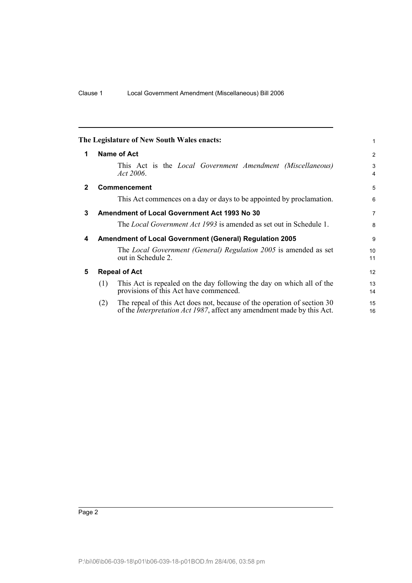<span id="page-7-4"></span><span id="page-7-3"></span><span id="page-7-2"></span><span id="page-7-1"></span><span id="page-7-0"></span>

|   | The Legislature of New South Wales enacts:                                                                                                                       | 1                     |
|---|------------------------------------------------------------------------------------------------------------------------------------------------------------------|-----------------------|
| 1 | Name of Act                                                                                                                                                      | 2                     |
|   | This Act is the <i>Local Government Amendment (Miscellaneous)</i><br>Act $2006$ .                                                                                | 3<br>4                |
| 2 | <b>Commencement</b>                                                                                                                                              | 5                     |
|   | This Act commences on a day or days to be appointed by proclamation.                                                                                             | 6                     |
| 3 | <b>Amendment of Local Government Act 1993 No 30</b>                                                                                                              | $\overline{7}$        |
|   | The <i>Local Government Act 1993</i> is amended as set out in Schedule 1.                                                                                        | 8                     |
| 4 | <b>Amendment of Local Government (General) Regulation 2005</b>                                                                                                   | 9                     |
|   | The Local Government (General) Regulation 2005 is amended as set<br>out in Schedule 2.                                                                           | 10 <sup>1</sup><br>11 |
| 5 | <b>Repeal of Act</b>                                                                                                                                             | 12                    |
|   | This Act is repealed on the day following the day on which all of the<br>(1)<br>provisions of this Act have commenced.                                           | 13<br>14              |
|   | The repeal of this Act does not, because of the operation of section 30<br>(2)<br>of the <i>Interpretation Act 1987</i> , affect any amendment made by this Act. | 15<br>16              |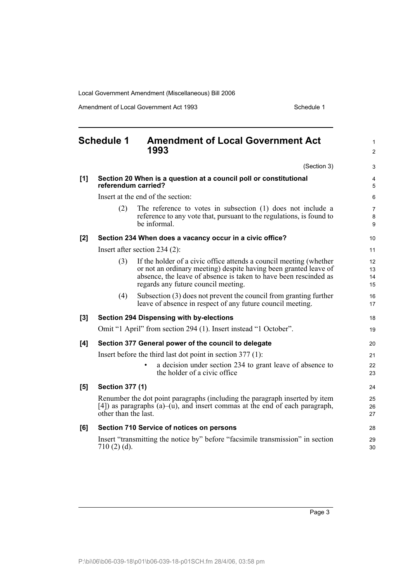Amendment of Local Government Act 1993 Schedule 1

<span id="page-8-0"></span>

|       | <b>Schedule 1</b>                                                                        | <b>Amendment of Local Government Act</b><br>1993                                                                                                                                                                                                  | $\mathbf{1}$<br>2        |
|-------|------------------------------------------------------------------------------------------|---------------------------------------------------------------------------------------------------------------------------------------------------------------------------------------------------------------------------------------------------|--------------------------|
|       |                                                                                          | (Section 3)                                                                                                                                                                                                                                       | 3                        |
| [1]   | Section 20 When is a question at a council poll or constitutional<br>referendum carried? |                                                                                                                                                                                                                                                   |                          |
|       | Insert at the end of the section:                                                        |                                                                                                                                                                                                                                                   |                          |
|       | (2)                                                                                      | The reference to votes in subsection $(1)$ does not include a<br>reference to any vote that, pursuant to the regulations, is found to<br>be informal.                                                                                             | $\overline{7}$<br>8<br>9 |
| [2]   |                                                                                          | Section 234 When does a vacancy occur in a civic office?                                                                                                                                                                                          | 10                       |
|       | Insert after section $234(2)$ :                                                          |                                                                                                                                                                                                                                                   |                          |
|       | (3)                                                                                      | If the holder of a civic office attends a council meeting (whether<br>or not an ordinary meeting) despite having been granted leave of<br>absence, the leave of absence is taken to have been rescinded as<br>regards any future council meeting. | 12<br>13<br>14<br>15     |
|       | (4)                                                                                      | Subsection (3) does not prevent the council from granting further<br>leave of absence in respect of any future council meeting.                                                                                                                   | 16<br>17                 |
| $[3]$ |                                                                                          | <b>Section 294 Dispensing with by-elections</b>                                                                                                                                                                                                   | 18                       |
|       |                                                                                          | Omit "1 April" from section 294 (1). Insert instead "1 October".                                                                                                                                                                                  | 19                       |
| [4]   | Section 377 General power of the council to delegate                                     |                                                                                                                                                                                                                                                   | 20                       |
|       | Insert before the third last dot point in section $377(1)$ :                             |                                                                                                                                                                                                                                                   | 21                       |
|       |                                                                                          | a decision under section 234 to grant leave of absence to<br>the holder of a civic office                                                                                                                                                         | 22<br>23                 |
| [5]   | <b>Section 377 (1)</b>                                                                   |                                                                                                                                                                                                                                                   | 24                       |
|       | other than the last.                                                                     | Renumber the dot point paragraphs (including the paragraph inserted by item<br>[4]) as paragraphs $(a)$ $-(u)$ , and insert commas at the end of each paragraph,                                                                                  | 25<br>26<br>27           |
| [6]   |                                                                                          | Section 710 Service of notices on persons                                                                                                                                                                                                         | 28                       |
|       | $710(2)(d)$ .                                                                            | Insert "transmitting the notice by" before "facsimile transmission" in section                                                                                                                                                                    | 29<br>30                 |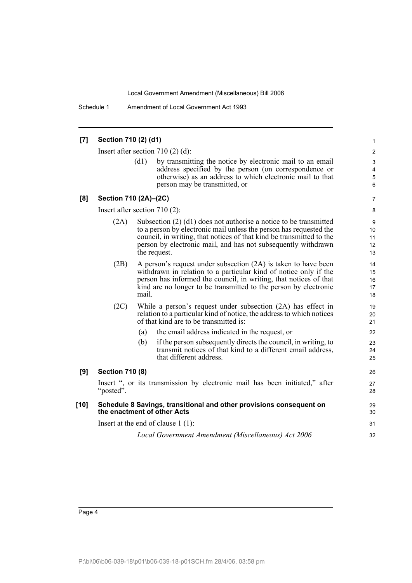Schedule 1 Amendment of Local Government Act 1993

#### **[7] Section 710 (2) (d1)** Insert after section 710 (2) (d): (d1) by transmitting the notice by electronic mail to an email address specified by the person (on correspondence or otherwise) as an address to which electronic mail to that person may be transmitted, or **[8] Section 710 (2A)–(2C)** Insert after section 710 (2): (2A) Subsection (2) (d1) does not authorise a notice to be transmitted to a person by electronic mail unless the person has requested the council, in writing, that notices of that kind be transmitted to the person by electronic mail, and has not subsequently withdrawn the request. (2B) A person's request under subsection (2A) is taken to have been withdrawn in relation to a particular kind of notice only if the person has informed the council, in writing, that notices of that kind are no longer to be transmitted to the person by electronic mail. (2C) While a person's request under subsection (2A) has effect in relation to a particular kind of notice, the address to which notices of that kind are to be transmitted is: (a) the email address indicated in the request, or (b) if the person subsequently directs the council, in writing, to transmit notices of that kind to a different email address, that different address. **[9] Section 710 (8)** Insert ", or its transmission by electronic mail has been initiated," after "posted". **[10] Schedule 8 Savings, transitional and other provisions consequent on the enactment of other Acts** Insert at the end of clause 1 (1): *Local Government Amendment (Miscellaneous) Act 2006* 1 2 3 4 5 6 7 8 9 10 11 12 13 14 15 16 17 18 19  $20$ 21 22 23 24 25 26 27 28 29 30 31 32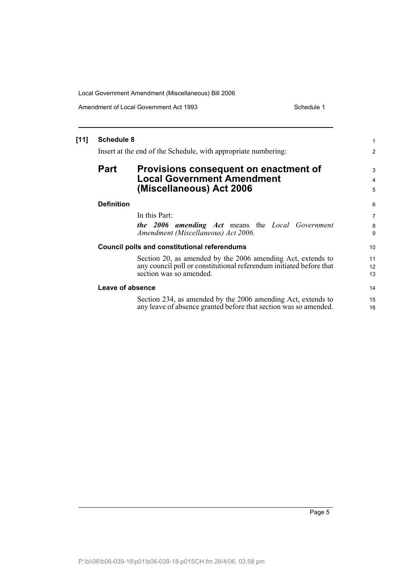Amendment of Local Government Act 1993 Schedule 1

| $[11]$ | <b>Schedule 8</b>                                              |                                                                     | 1              |
|--------|----------------------------------------------------------------|---------------------------------------------------------------------|----------------|
|        | Insert at the end of the Schedule, with appropriate numbering: |                                                                     | 2              |
|        | <b>Part</b>                                                    | Provisions consequent on enactment of                               | 3              |
|        |                                                                | <b>Local Government Amendment</b>                                   | 4              |
|        |                                                                | (Miscellaneous) Act 2006                                            | 5              |
|        | <b>Definition</b>                                              |                                                                     | 6              |
|        |                                                                | In this Part:                                                       | $\overline{7}$ |
|        |                                                                | the 2006 amending Act means the Local Government                    | 8              |
|        |                                                                | Amendment (Miscellaneous) Act 2006.                                 | 9              |
|        |                                                                | <b>Council polls and constitutional referendums</b>                 | 10             |
|        |                                                                | Section 20, as amended by the 2006 amending Act, extends to         | 11             |
|        |                                                                | any council poll or constitutional referendum initiated before that | 12             |
|        |                                                                | section was so amended.                                             | 13             |
|        | Leave of absence                                               |                                                                     | 14             |
|        |                                                                | Section 234, as amended by the 2006 amending Act, extends to        | 15             |
|        |                                                                | any leave of absence granted before that section was so amended.    | 16             |